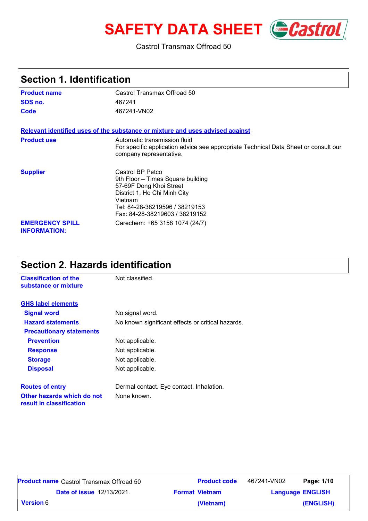# **SAFETY DATA SHEET** *Castrol*

#### Castrol Transmax Offroad 50

| Section 1. Identification                     |                                                                                                                                                                                                 |  |
|-----------------------------------------------|-------------------------------------------------------------------------------------------------------------------------------------------------------------------------------------------------|--|
| <b>Product name</b>                           | Castrol Transmax Offroad 50                                                                                                                                                                     |  |
| SDS no.                                       | 467241                                                                                                                                                                                          |  |
| Code                                          | 467241-VN02                                                                                                                                                                                     |  |
|                                               | Relevant identified uses of the substance or mixture and uses advised against                                                                                                                   |  |
| <b>Product use</b>                            | Automatic transmission fluid<br>For specific application advice see appropriate Technical Data Sheet or consult our<br>company representative.                                                  |  |
| <b>Supplier</b>                               | Castrol BP Petco<br>9th Floor - Times Square building<br>57-69F Dong Khoi Street<br>District 1, Ho Chi Minh City<br>Vietnam<br>Tel: 84-28-38219596 / 38219153<br>Fax: 84-28-38219603 / 38219152 |  |
| <b>EMERGENCY SPILL</b><br><b>INFORMATION:</b> | Carechem: +65 3158 1074 (24/7)                                                                                                                                                                  |  |

#### **Section 2. Hazards identification**

| <b>Classification of the</b><br>substance or mixture   | Not classified.                                   |
|--------------------------------------------------------|---------------------------------------------------|
| <b>GHS label elements</b>                              |                                                   |
| <b>Signal word</b>                                     | No signal word.                                   |
| <b>Hazard statements</b>                               | No known significant effects or critical hazards. |
| <b>Precautionary statements</b>                        |                                                   |
| <b>Prevention</b>                                      | Not applicable.                                   |
| <b>Response</b>                                        | Not applicable.                                   |
| <b>Storage</b>                                         | Not applicable.                                   |
| <b>Disposal</b>                                        | Not applicable.                                   |
| <b>Routes of entry</b>                                 | Dermal contact. Eye contact. Inhalation.          |
| Other hazards which do not<br>result in classification | None known.                                       |

|                  | <b>Product name</b> Castrol Transmax Offroad 50 | <b>Product code</b>   | Page: 1/10<br>467241-VN02 |  |
|------------------|-------------------------------------------------|-----------------------|---------------------------|--|
|                  | <b>Date of issue 12/13/2021.</b>                | <b>Format Vietnam</b> | <b>Language ENGLISH</b>   |  |
| <b>Version 6</b> |                                                 | (Vietnam)             | (ENGLISH)                 |  |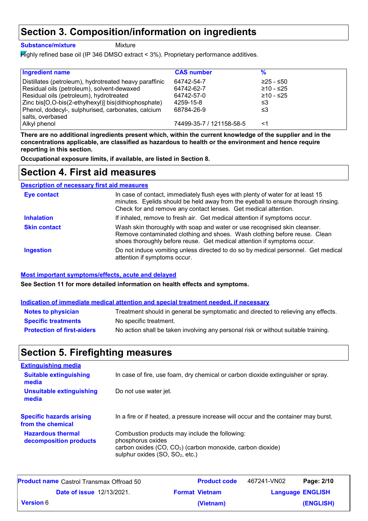### **Section 3. Composition/information on ingredients**

**Substance/mixture**

Mixture

Highly refined base oil (IP 346 DMSO extract < 3%). Proprietary performance additives.

| <b>CAS number</b>        | %           |
|--------------------------|-------------|
| 64742-54-7               | $≥25 - ≤50$ |
| 64742-62-7               | ≥10 - ≤25   |
| 64742-57-0               | ≥10 - ≤25   |
| 4259-15-8                | ≤3          |
| 68784-26-9               | ≤3          |
|                          |             |
| 74499-35-7 / 121158-58-5 | <1          |
|                          |             |

**There are no additional ingredients present which, within the current knowledge of the supplier and in the concentrations applicable, are classified as hazardous to health or the environment and hence require reporting in this section.**

**Occupational exposure limits, if available, are listed in Section 8.**

### **Section 4. First aid measures**

#### **Description of necessary first aid measures**

| <b>Eye contact</b>  | In case of contact, immediately flush eyes with plenty of water for at least 15<br>minutes. Eyelids should be held away from the eyeball to ensure thorough rinsing.<br>Check for and remove any contact lenses. Get medical attention. |
|---------------------|-----------------------------------------------------------------------------------------------------------------------------------------------------------------------------------------------------------------------------------------|
| <b>Inhalation</b>   | If inhaled, remove to fresh air. Get medical attention if symptoms occur.                                                                                                                                                               |
| <b>Skin contact</b> | Wash skin thoroughly with soap and water or use recognised skin cleanser.<br>Remove contaminated clothing and shoes. Wash clothing before reuse. Clean<br>shoes thoroughly before reuse. Get medical attention if symptoms occur.       |
| <b>Ingestion</b>    | Do not induce vomiting unless directed to do so by medical personnel. Get medical<br>attention if symptoms occur.                                                                                                                       |

#### **Most important symptoms/effects, acute and delayed**

**See Section 11 for more detailed information on health effects and symptoms.**

#### **Indication of immediate medical attention and special treatment needed, if necessary**

| <b>Notes to physician</b>         | Treatment should in general be symptomatic and directed to relieving any effects.  |
|-----------------------------------|------------------------------------------------------------------------------------|
| <b>Specific treatments</b>        | No specific treatment.                                                             |
| <b>Protection of first-aiders</b> | No action shall be taken involving any personal risk or without suitable training. |

### **Section 5. Firefighting measures**

| In case of fire, use foam, dry chemical or carbon dioxide extinguisher or spray.                                                                                                             |
|----------------------------------------------------------------------------------------------------------------------------------------------------------------------------------------------|
| Do not use water jet.                                                                                                                                                                        |
| In a fire or if heated, a pressure increase will occur and the container may burst.                                                                                                          |
| Combustion products may include the following:<br>phosphorus oxides<br>carbon oxides (CO, CO <sub>2</sub> ) (carbon monoxide, carbon dioxide)<br>sulphur oxides (SO, SO <sub>2</sub> , etc.) |
|                                                                                                                                                                                              |

| <b>Product name</b> Castrol Transmax Offroad 50 |                       | <b>Product code</b> | 467241-VN02             | Page: 2/10 |
|-------------------------------------------------|-----------------------|---------------------|-------------------------|------------|
| <b>Date of issue 12/13/2021.</b>                | <b>Format Vietnam</b> |                     | <b>Language ENGLISH</b> |            |
| <b>Version</b> 6                                |                       | (Vietnam)           |                         | (ENGLISH)  |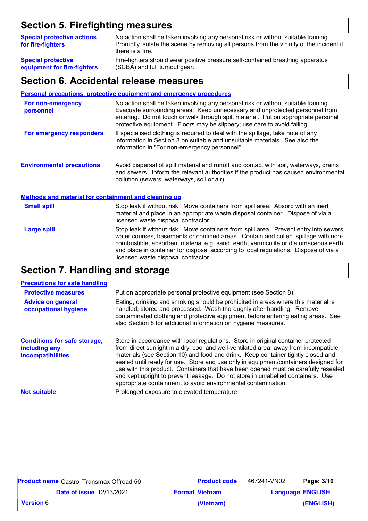### **Section 5. Firefighting measures**

| <b>Special protective actions</b><br>for fire-fighters | No action shall be taken involving any personal risk or without suitable training.<br>Promptly isolate the scene by removing all persons from the vicinity of the incident if<br>there is a fire. |
|--------------------------------------------------------|---------------------------------------------------------------------------------------------------------------------------------------------------------------------------------------------------|
| <b>Special protective</b>                              | Fire-fighters should wear positive pressure self-contained breathing apparatus                                                                                                                    |
| equipment for fire-fighters                            | (SCBA) and full turnout gear.                                                                                                                                                                     |

#### **Section 6. Accidental release measures**

#### **Personal precautions, protective equipment and emergency procedures**

| For non-emergency<br>personnel                              | No action shall be taken involving any personal risk or without suitable training.<br>Evacuate surrounding areas. Keep unnecessary and unprotected personnel from<br>entering. Do not touch or walk through spilt material. Put on appropriate personal<br>protective equipment. Floors may be slippery; use care to avoid falling.                                                                |  |  |
|-------------------------------------------------------------|----------------------------------------------------------------------------------------------------------------------------------------------------------------------------------------------------------------------------------------------------------------------------------------------------------------------------------------------------------------------------------------------------|--|--|
| For emergency responders                                    | If specialised clothing is required to deal with the spillage, take note of any<br>information in Section 8 on suitable and unsuitable materials. See also the<br>information in "For non-emergency personnel".                                                                                                                                                                                    |  |  |
| <b>Environmental precautions</b>                            | Avoid dispersal of spilt material and runoff and contact with soil, waterways, drains<br>and sewers. Inform the relevant authorities if the product has caused environmental<br>pollution (sewers, waterways, soil or air).                                                                                                                                                                        |  |  |
| <b>Methods and material for containment and cleaning up</b> |                                                                                                                                                                                                                                                                                                                                                                                                    |  |  |
| <b>Small spill</b>                                          | Stop leak if without risk. Move containers from spill area. Absorb with an inert<br>material and place in an appropriate waste disposal container. Dispose of via a<br>licensed waste disposal contractor.                                                                                                                                                                                         |  |  |
| <b>Large spill</b>                                          | Stop leak if without risk. Move containers from spill area. Prevent entry into sewers,<br>water courses, basements or confined areas. Contain and collect spillage with non-<br>combustible, absorbent material e.g. sand, earth, vermiculite or diatomaceous earth<br>and place in container for disposal according to local regulations. Dispose of via a<br>licensed waste disposal contractor. |  |  |

#### **Section 7. Handling and storage**

#### **Advice on general occupational hygiene Conditions for safe storage, including any incompatibilities** Eating, drinking and smoking should be prohibited in areas where this material is handled, stored and processed. Wash thoroughly after handling. Remove contaminated clothing and protective equipment before entering eating areas. See also Section 8 for additional information on hygiene measures. Store in accordance with local regulations. Store in original container protected from direct sunlight in a dry, cool and well-ventilated area, away from incompatible materials (see Section 10) and food and drink. Keep container tightly closed and sealed until ready for use. Store and use only in equipment/containers designed for use with this product. Containers that have been opened must be carefully resealed and kept upright to prevent leakage. Do not store in unlabelled containers. Use appropriate containment to avoid environmental contamination. **Protective measures** Put on appropriate personal protective equipment (see Section 8). **Precautions for safe handling Not suitable Not suitable** Prolonged exposure to elevated temperature

| <b>Product name</b> Castrol Transmax Offroad 50 |                                  | <b>Product code</b> | 467241-VN02           | Page: 3/10              |           |
|-------------------------------------------------|----------------------------------|---------------------|-----------------------|-------------------------|-----------|
|                                                 | <b>Date of issue 12/13/2021.</b> |                     | <b>Format Vietnam</b> | <b>Language ENGLISH</b> |           |
| <b>Version 6</b>                                |                                  |                     | (Vietnam)             |                         | (ENGLISH) |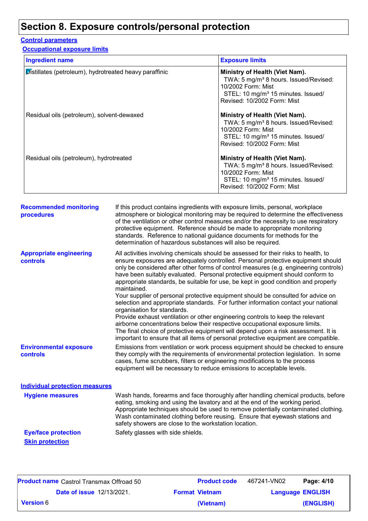### **Section 8. Exposure controls/personal protection**

#### **Control parameters**

**Occupational exposure limits**

| <b>Ingredient name</b>                                 | <b>Exposure limits</b>                                                                                                                                                                     |
|--------------------------------------------------------|--------------------------------------------------------------------------------------------------------------------------------------------------------------------------------------------|
| Distillates (petroleum), hydrotreated heavy paraffinic | Ministry of Health (Viet Nam).<br>TWA: 5 mg/m <sup>3</sup> 8 hours. Issued/Revised:<br>10/2002 Form: Mist<br>STEL: 10 mg/m <sup>3</sup> 15 minutes. Issued/<br>Revised: 10/2002 Form: Mist |
| Residual oils (petroleum), solvent-dewaxed             | Ministry of Health (Viet Nam).<br>TWA: 5 mg/m <sup>3</sup> 8 hours. Issued/Revised:<br>10/2002 Form: Mist<br>STEL: 10 mg/m <sup>3</sup> 15 minutes. Issued/<br>Revised: 10/2002 Form: Mist |
| Residual oils (petroleum), hydrotreated                | Ministry of Health (Viet Nam).<br>TWA: 5 mg/m <sup>3</sup> 8 hours. Issued/Revised:<br>10/2002 Form: Mist<br>STEL: 10 mg/m <sup>3</sup> 15 minutes. Issued/<br>Revised: 10/2002 Form: Mist |

| <b>Recommended monitoring</b><br>procedures       | If this product contains ingredients with exposure limits, personal, workplace<br>atmosphere or biological monitoring may be required to determine the effectiveness<br>of the ventilation or other control measures and/or the necessity to use respiratory<br>protective equipment. Reference should be made to appropriate monitoring<br>standards. Reference to national guidance documents for methods for the<br>determination of hazardous substances will also be required.                                                                                                                                                                                                                                                                                                                                                                                                                                                                                                                           |
|---------------------------------------------------|---------------------------------------------------------------------------------------------------------------------------------------------------------------------------------------------------------------------------------------------------------------------------------------------------------------------------------------------------------------------------------------------------------------------------------------------------------------------------------------------------------------------------------------------------------------------------------------------------------------------------------------------------------------------------------------------------------------------------------------------------------------------------------------------------------------------------------------------------------------------------------------------------------------------------------------------------------------------------------------------------------------|
| <b>Appropriate engineering</b><br><b>controls</b> | All activities involving chemicals should be assessed for their risks to health, to<br>ensure exposures are adequately controlled. Personal protective equipment should<br>only be considered after other forms of control measures (e.g. engineering controls)<br>have been suitably evaluated. Personal protective equipment should conform to<br>appropriate standards, be suitable for use, be kept in good condition and properly<br>maintained.<br>Your supplier of personal protective equipment should be consulted for advice on<br>selection and appropriate standards. For further information contact your national<br>organisation for standards.<br>Provide exhaust ventilation or other engineering controls to keep the relevant<br>airborne concentrations below their respective occupational exposure limits.<br>The final choice of protective equipment will depend upon a risk assessment. It is<br>important to ensure that all items of personal protective equipment are compatible. |
| <b>Environmental exposure</b><br>controls         | Emissions from ventilation or work process equipment should be checked to ensure<br>they comply with the requirements of environmental protection legislation. In some<br>cases, fume scrubbers, filters or engineering modifications to the process<br>equipment will be necessary to reduce emissions to acceptable levels.                                                                                                                                                                                                                                                                                                                                                                                                                                                                                                                                                                                                                                                                                 |
| <b>Individual protection measures</b>             |                                                                                                                                                                                                                                                                                                                                                                                                                                                                                                                                                                                                                                                                                                                                                                                                                                                                                                                                                                                                               |
| <b>Hygiene measures</b>                           | Wash hands, forearms and face thoroughly after handling chemical products, before<br>eating, smoking and using the lavatory and at the end of the working period.<br>Appropriate techniques should be used to remove potentially contaminated clothing.<br>Wash contaminated clothing before reusing. Ensure that eyewash stations and<br>safety showers are close to the workstation location.                                                                                                                                                                                                                                                                                                                                                                                                                                                                                                                                                                                                               |
| <b>Eye/face protection</b>                        | Safety glasses with side shields.                                                                                                                                                                                                                                                                                                                                                                                                                                                                                                                                                                                                                                                                                                                                                                                                                                                                                                                                                                             |
| <b>Skin protection</b>                            |                                                                                                                                                                                                                                                                                                                                                                                                                                                                                                                                                                                                                                                                                                                                                                                                                                                                                                                                                                                                               |

|                  | <b>Product name</b> Castrol Transmax Offroad 50 | <b>Product code</b>   | 467241-VN02 | Page: 4/10              |
|------------------|-------------------------------------------------|-----------------------|-------------|-------------------------|
|                  | <b>Date of issue 12/13/2021.</b>                | <b>Format Vietnam</b> |             | <b>Language ENGLISH</b> |
| <b>Version 6</b> |                                                 | (Vietnam)             |             | (ENGLISH)               |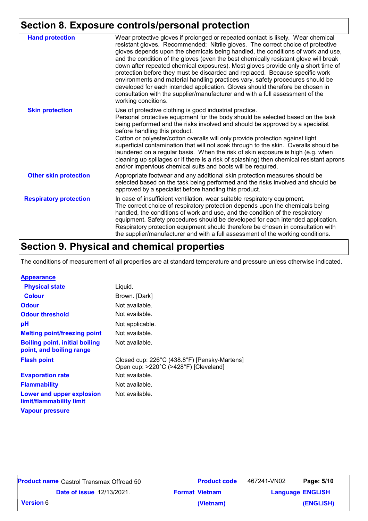### **Section 8. Exposure controls/personal protection**

| <b>Hand protection</b>        | Wear protective gloves if prolonged or repeated contact is likely. Wear chemical<br>resistant gloves. Recommended: Nitrile gloves. The correct choice of protective<br>gloves depends upon the chemicals being handled, the conditions of work and use,<br>and the condition of the gloves (even the best chemically resistant glove will break<br>down after repeated chemical exposures). Most gloves provide only a short time of<br>protection before they must be discarded and replaced. Because specific work<br>environments and material handling practices vary, safety procedures should be<br>developed for each intended application. Gloves should therefore be chosen in<br>consultation with the supplier/manufacturer and with a full assessment of the<br>working conditions. |
|-------------------------------|-------------------------------------------------------------------------------------------------------------------------------------------------------------------------------------------------------------------------------------------------------------------------------------------------------------------------------------------------------------------------------------------------------------------------------------------------------------------------------------------------------------------------------------------------------------------------------------------------------------------------------------------------------------------------------------------------------------------------------------------------------------------------------------------------|
| <b>Skin protection</b>        | Use of protective clothing is good industrial practice.<br>Personal protective equipment for the body should be selected based on the task<br>being performed and the risks involved and should be approved by a specialist<br>before handling this product.<br>Cotton or polyester/cotton overalls will only provide protection against light<br>superficial contamination that will not soak through to the skin. Overalls should be<br>laundered on a regular basis. When the risk of skin exposure is high (e.g. when<br>cleaning up spillages or if there is a risk of splashing) then chemical resistant aprons<br>and/or impervious chemical suits and boots will be required.                                                                                                           |
| <b>Other skin protection</b>  | Appropriate footwear and any additional skin protection measures should be<br>selected based on the task being performed and the risks involved and should be<br>approved by a specialist before handling this product.                                                                                                                                                                                                                                                                                                                                                                                                                                                                                                                                                                         |
| <b>Respiratory protection</b> | In case of insufficient ventilation, wear suitable respiratory equipment.<br>The correct choice of respiratory protection depends upon the chemicals being<br>handled, the conditions of work and use, and the condition of the respiratory<br>equipment. Safety procedures should be developed for each intended application.<br>Respiratory protection equipment should therefore be chosen in consultation with<br>the supplier/manufacturer and with a full assessment of the working conditions.                                                                                                                                                                                                                                                                                           |

## **Section 9. Physical and chemical properties**

The conditions of measurement of all properties are at standard temperature and pressure unless otherwise indicated.

| <b>Appearance</b>                                                 |                                                                                       |
|-------------------------------------------------------------------|---------------------------------------------------------------------------------------|
| <b>Physical state</b>                                             | Liquid.                                                                               |
| <b>Colour</b>                                                     | Brown. [Dark]                                                                         |
| <b>Odour</b>                                                      | Not available.                                                                        |
| <b>Odour threshold</b>                                            | Not available.                                                                        |
| рH                                                                | Not applicable.                                                                       |
| <b>Melting point/freezing point</b>                               | Not available.                                                                        |
| <b>Boiling point, initial boiling</b><br>point, and boiling range | Not available.                                                                        |
| <b>Flash point</b>                                                | Closed cup: 226°C (438.8°F) [Pensky-Martens]<br>Open cup: >220°C (>428°F) [Cleveland] |
| <b>Evaporation rate</b>                                           | Not available.                                                                        |
| <b>Flammability</b>                                               | Not available.                                                                        |
| Lower and upper explosion<br>limit/flammability limit             | Not available.                                                                        |
| <b>Vapour pressure</b>                                            |                                                                                       |
|                                                                   |                                                                                       |

| <b>Product name</b> Castrol Transmax Offroad 50 | <b>Product code</b> | 467241-VN02           | Page: 5/10              |           |
|-------------------------------------------------|---------------------|-----------------------|-------------------------|-----------|
| <b>Date of issue 12/13/2021.</b>                |                     | <b>Format Vietnam</b> | <b>Language ENGLISH</b> |           |
| <b>Version 6</b>                                |                     | (Vietnam)             |                         | (ENGLISH) |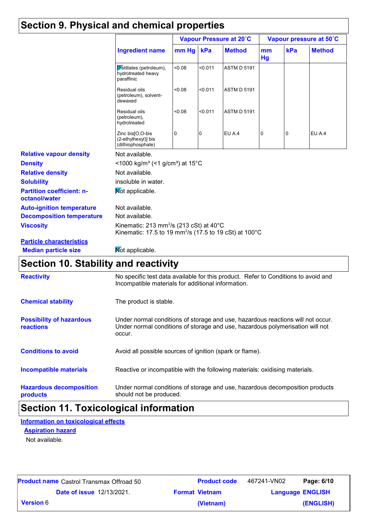### **Section 9. Physical and chemical properties**

|                                                   |                                                                                                                                                |        |         | Vapour Pressure at 20°C |                |     | Vapour pressure at 50°C |
|---------------------------------------------------|------------------------------------------------------------------------------------------------------------------------------------------------|--------|---------|-------------------------|----------------|-----|-------------------------|
|                                                   | <b>Ingredient name</b>                                                                                                                         | mm Hg  | kPa     | <b>Method</b>           | mm<br>Hg       | kPa | <b>Method</b>           |
|                                                   | Distillates (petroleum),<br>hydrotreated heavy<br>paraffinic                                                                                   | 80.08  | < 0.011 | <b>ASTM D 5191</b>      |                |     |                         |
|                                                   | Residual oils<br>(petroleum), solvent-<br>dewaxed                                                                                              | < 0.08 | < 0.011 | <b>ASTM D 5191</b>      |                |     |                         |
|                                                   | Residual oils<br>(petroleum),<br>hydrotreated                                                                                                  | < 0.08 | < 0.011 | <b>ASTM D 5191</b>      |                |     |                         |
|                                                   | Zinc bis[O,O-bis<br>(2-ethylhexyl)] bis<br>(dithiophosphate)                                                                                   | 0      | 0       | EU A.4                  | $\overline{0}$ | 0   | EU A.4                  |
| <b>Relative vapour density</b>                    | Not available.                                                                                                                                 |        |         |                         |                |     |                         |
| <b>Density</b>                                    | <1000 kg/m <sup>3</sup> (<1 g/cm <sup>3</sup> ) at 15°C                                                                                        |        |         |                         |                |     |                         |
| <b>Relative density</b>                           | Not available.                                                                                                                                 |        |         |                         |                |     |                         |
| <b>Solubility</b>                                 | insoluble in water.                                                                                                                            |        |         |                         |                |     |                         |
| <b>Partition coefficient: n-</b><br>octanol/water | Mot applicable.                                                                                                                                |        |         |                         |                |     |                         |
| <b>Auto-ignition temperature</b>                  | Not available.                                                                                                                                 |        |         |                         |                |     |                         |
| <b>Decomposition temperature</b>                  | Not available.                                                                                                                                 |        |         |                         |                |     |                         |
| <b>Viscosity</b>                                  | Kinematic: 213 mm <sup>2</sup> /s (213 cSt) at $40^{\circ}$ C<br>Kinematic: 17.5 to 19 mm <sup>2</sup> /s (17.5 to 19 cSt) at 100 $^{\circ}$ C |        |         |                         |                |     |                         |
| <b>Particle characteristics</b>                   |                                                                                                                                                |        |         |                         |                |     |                         |
| <b>Median particle size</b>                       | Mot applicable.                                                                                                                                |        |         |                         |                |     |                         |
| Section 10. Stability and reactivity              |                                                                                                                                                |        |         |                         |                |     |                         |
| <b>Reactivity</b>                                 | No specific test data available for this product. Refer to Conditions to avoid and                                                             |        |         |                         |                |     |                         |

|                                              | Incompatible materials for additional information.                                                                                                                         |
|----------------------------------------------|----------------------------------------------------------------------------------------------------------------------------------------------------------------------------|
| <b>Chemical stability</b>                    | The product is stable.                                                                                                                                                     |
| <b>Possibility of hazardous</b><br>reactions | Under normal conditions of storage and use, hazardous reactions will not occur.<br>Under normal conditions of storage and use, hazardous polymerisation will not<br>occur. |
| <b>Conditions to avoid</b>                   | Avoid all possible sources of ignition (spark or flame).                                                                                                                   |
| Incompatible materials                       | Reactive or incompatible with the following materials: oxidising materials.                                                                                                |
| <b>Hazardous decomposition</b><br>products   | Under normal conditions of storage and use, hazardous decomposition products<br>should not be produced.                                                                    |

# **Section 11. Toxicological information**

**Information on toxicological effects**

**Aspiration hazard**

Not available.

|                  | <b>Product name</b> Castrol Transmax Offroad 50 | <b>Product code</b>   | Page: 6/10<br>467241-VN02 |
|------------------|-------------------------------------------------|-----------------------|---------------------------|
|                  | <b>Date of issue 12/13/2021.</b>                | <b>Format Vietnam</b> | <b>Language ENGLISH</b>   |
| <b>Version</b> 6 |                                                 | (Vietnam)             | (ENGLISH)                 |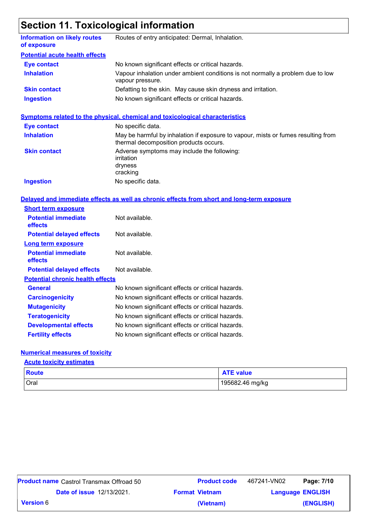# **Section 11. Toxicological information**

| <b>Information on likely routes</b><br>of exposure | Routes of entry anticipated: Dermal, Inhalation.                                                                            |  |  |  |
|----------------------------------------------------|-----------------------------------------------------------------------------------------------------------------------------|--|--|--|
| <b>Potential acute health effects</b>              |                                                                                                                             |  |  |  |
| <b>Eye contact</b>                                 | No known significant effects or critical hazards.                                                                           |  |  |  |
| <b>Inhalation</b>                                  | Vapour inhalation under ambient conditions is not normally a problem due to low<br>vapour pressure.                         |  |  |  |
| <b>Skin contact</b>                                | Defatting to the skin. May cause skin dryness and irritation.                                                               |  |  |  |
| <b>Ingestion</b>                                   | No known significant effects or critical hazards.                                                                           |  |  |  |
|                                                    | <b>Symptoms related to the physical, chemical and toxicological characteristics</b>                                         |  |  |  |
| <b>Eye contact</b>                                 | No specific data.                                                                                                           |  |  |  |
| <b>Inhalation</b>                                  | May be harmful by inhalation if exposure to vapour, mists or fumes resulting from<br>thermal decomposition products occurs. |  |  |  |
| <b>Skin contact</b>                                | Adverse symptoms may include the following:<br>irritation<br>dryness<br>cracking                                            |  |  |  |
| <b>Ingestion</b>                                   | No specific data.                                                                                                           |  |  |  |
|                                                    | Delayed and immediate effects as well as chronic effects from short and long-term exposure                                  |  |  |  |
| <b>Short term exposure</b>                         |                                                                                                                             |  |  |  |
| <b>Potential immediate</b><br>effects              | Not available.                                                                                                              |  |  |  |
| <b>Potential delayed effects</b>                   | Not available.                                                                                                              |  |  |  |
| <b>Long term exposure</b>                          |                                                                                                                             |  |  |  |
| <b>Potential immediate</b><br>effects              | Not available.                                                                                                              |  |  |  |
| <b>Potential delayed effects</b>                   | Not available.                                                                                                              |  |  |  |
| <b>Potential chronic health effects</b>            |                                                                                                                             |  |  |  |
| <b>General</b>                                     | No known significant effects or critical hazards.                                                                           |  |  |  |
| <b>Carcinogenicity</b>                             | No known significant effects or critical hazards.                                                                           |  |  |  |
| <b>Mutagenicity</b>                                | No known significant effects or critical hazards.                                                                           |  |  |  |
| <b>Teratogenicity</b>                              | No known significant effects or critical hazards.                                                                           |  |  |  |
| <b>Developmental effects</b>                       | No known significant effects or critical hazards.                                                                           |  |  |  |
| <b>Fertility effects</b>                           | No known significant effects or critical hazards.                                                                           |  |  |  |

#### **Numerical measures of toxicity**

#### **Acute toxicity estimates**

| Route | <b>ATE value</b> |
|-------|------------------|
| Oral  | 195682.46 mg/kg  |

| <b>Product name</b> Castrol Transmax Offroad 50 |                       | <b>Product code</b> | 467241-VN02 | Page: 7/10              |
|-------------------------------------------------|-----------------------|---------------------|-------------|-------------------------|
| <b>Date of issue 12/13/2021.</b>                | <b>Format Vietnam</b> |                     |             | <b>Language ENGLISH</b> |
| <b>Version 6</b>                                | (Vietnam)             |                     |             | (ENGLISH)               |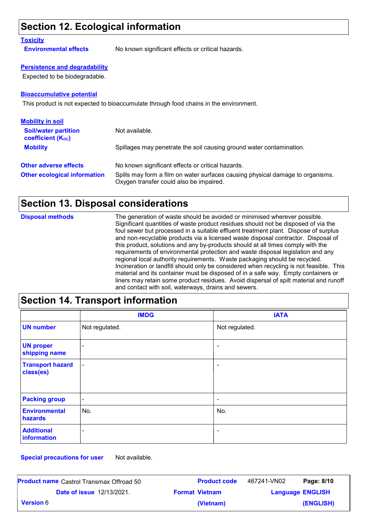### **Section 12. Ecological information**

#### **Toxicity**

**Environmental effects** No known significant effects or critical hazards.

#### **Persistence and degradability**

Expected to be biodegradable.

#### **Bioaccumulative potential**

This product is not expected to bioaccumulate through food chains in the environment.

| <b>Mobility in soil</b>                                 |                                                                                                                           |
|---------------------------------------------------------|---------------------------------------------------------------------------------------------------------------------------|
| <b>Soil/water partition</b><br><b>coefficient (Koc)</b> | Not available.                                                                                                            |
| <b>Mobility</b>                                         | Spillages may penetrate the soil causing ground water contamination.                                                      |
| <b>Other adverse effects</b>                            | No known significant effects or critical hazards.                                                                         |
| <b>Other ecological information</b>                     | Spills may form a film on water surfaces causing physical damage to organisms.<br>Oxygen transfer could also be impaired. |

### **Section 13. Disposal considerations**

| <b>Disposal methods</b> | The generation of waste should be avoided or minimised wherever possible.<br>Significant quantities of waste product residues should not be disposed of via the<br>foul sewer but processed in a suitable effluent treatment plant. Dispose of surplus<br>and non-recyclable products via a licensed waste disposal contractor. Disposal of<br>this product, solutions and any by-products should at all times comply with the<br>requirements of environmental protection and waste disposal legislation and any<br>regional local authority requirements. Waste packaging should be recycled.<br>Incineration or landfill should only be considered when recycling is not feasible. This<br>material and its container must be disposed of in a safe way. Empty containers or<br>liners may retain some product residues. Avoid dispersal of spilt material and runoff |
|-------------------------|--------------------------------------------------------------------------------------------------------------------------------------------------------------------------------------------------------------------------------------------------------------------------------------------------------------------------------------------------------------------------------------------------------------------------------------------------------------------------------------------------------------------------------------------------------------------------------------------------------------------------------------------------------------------------------------------------------------------------------------------------------------------------------------------------------------------------------------------------------------------------|
|                         | and contact with soil, waterways, drains and sewers.                                                                                                                                                                                                                                                                                                                                                                                                                                                                                                                                                                                                                                                                                                                                                                                                                     |

### **Section 14. Transport information**

|                                      | <b>IMDG</b>              | <b>IATA</b>              |
|--------------------------------------|--------------------------|--------------------------|
| <b>UN number</b>                     | Not regulated.           | Not regulated.           |
| <b>UN proper</b><br>shipping name    | $\overline{\phantom{a}}$ | $\blacksquare$           |
| <b>Transport hazard</b><br>class(es) | $\blacksquare$           | $\overline{\phantom{a}}$ |
| <b>Packing group</b>                 | $\blacksquare$           | $\overline{\phantom{a}}$ |
| <b>Environmental</b><br>hazards      | No.                      | No.                      |
| <b>Additional</b><br>information     | ۰                        | $\blacksquare$           |

**Special precautions for user** Not available.

| <b>Product name</b> Castrol Transmax Offroad 50 |                                  | <b>Product code</b>   | 467241-VN02             | Page: 8/10 |
|-------------------------------------------------|----------------------------------|-----------------------|-------------------------|------------|
|                                                 | <b>Date of issue 12/13/2021.</b> | <b>Format Vietnam</b> | <b>Language ENGLISH</b> |            |
| <b>Version 6</b>                                |                                  | (Vietnam)             |                         | (ENGLISH)  |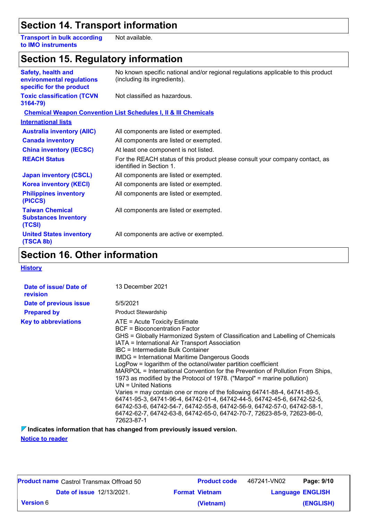### **Section 14. Transport information**

**Transport in bulk according to IMO instruments** Not available.

### **Section 15. Regulatory information**

| <b>Safety, health and</b><br>environmental regulations<br>specific for the product | No known specific national and/or regional regulations applicable to this product<br>(including its ingredients). |
|------------------------------------------------------------------------------------|-------------------------------------------------------------------------------------------------------------------|
| <b>Toxic classification (TCVN</b><br>3164-79)                                      | Not classified as hazardous.                                                                                      |
|                                                                                    | <b>Chemical Weapon Convention List Schedules I, II &amp; III Chemicals</b>                                        |
| <b>International lists</b>                                                         |                                                                                                                   |
| <b>Australia inventory (AIIC)</b>                                                  | All components are listed or exempted.                                                                            |
| <b>Canada inventory</b>                                                            | All components are listed or exempted.                                                                            |
| <b>China inventory (IECSC)</b>                                                     | At least one component is not listed.                                                                             |
| <b>REACH Status</b>                                                                | For the REACH status of this product please consult your company contact, as<br>identified in Section 1.          |
| <b>Japan inventory (CSCL)</b>                                                      | All components are listed or exempted.                                                                            |
| <b>Korea inventory (KECI)</b>                                                      | All components are listed or exempted.                                                                            |
| <b>Philippines inventory</b><br>(PICCS)                                            | All components are listed or exempted.                                                                            |
| <b>Taiwan Chemical</b><br><b>Substances Inventory</b><br>(TCSI)                    | All components are listed or exempted.                                                                            |
| <b>United States inventory</b><br>(TSCA 8b)                                        | All components are active or exempted.                                                                            |

### **Section 16. Other information**

**History**

| Date of issue/ Date of<br>revision | 13 December 2021                                                                                                                                                                                                                                                                                                                                                                                                                                                                                                                                                                                                                                                                                                                                                                                                                                                                 |
|------------------------------------|----------------------------------------------------------------------------------------------------------------------------------------------------------------------------------------------------------------------------------------------------------------------------------------------------------------------------------------------------------------------------------------------------------------------------------------------------------------------------------------------------------------------------------------------------------------------------------------------------------------------------------------------------------------------------------------------------------------------------------------------------------------------------------------------------------------------------------------------------------------------------------|
| Date of previous issue             | 5/5/2021                                                                                                                                                                                                                                                                                                                                                                                                                                                                                                                                                                                                                                                                                                                                                                                                                                                                         |
| <b>Prepared by</b>                 | <b>Product Stewardship</b>                                                                                                                                                                                                                                                                                                                                                                                                                                                                                                                                                                                                                                                                                                                                                                                                                                                       |
| <b>Key to abbreviations</b>        | ATE = Acute Toxicity Estimate<br>BCF = Bioconcentration Factor<br>GHS = Globally Harmonized System of Classification and Labelling of Chemicals<br>IATA = International Air Transport Association<br>IBC = Intermediate Bulk Container<br><b>IMDG = International Maritime Dangerous Goods</b><br>LogPow = logarithm of the octanol/water partition coefficient<br>MARPOL = International Convention for the Prevention of Pollution From Ships,<br>1973 as modified by the Protocol of 1978. ("Marpol" = marine pollution)<br>$UN = United Nations$<br>Varies = may contain one or more of the following 64741-88-4, 64741-89-5,<br>64741-95-3, 64741-96-4, 64742-01-4, 64742-44-5, 64742-45-6, 64742-52-5,<br>64742-53-6, 64742-54-7, 64742-55-8, 64742-56-9, 64742-57-0, 64742-58-1,<br>64742-62-7, 64742-63-8, 64742-65-0, 64742-70-7, 72623-85-9, 72623-86-0,<br>72623-87-1 |

**Indicates information that has changed from previously issued version.**

**Notice to reader**

| <b>Product name</b> Castrol Transmax Offroad 50 | <b>Product code</b>   | 467241-VN02             | Page: 9/10 |
|-------------------------------------------------|-----------------------|-------------------------|------------|
| <b>Date of issue 12/13/2021.</b>                | <b>Format Vietnam</b> | <b>Language ENGLISH</b> |            |
| <b>Version 6</b>                                | (Vietnam)             |                         | (ENGLISH)  |